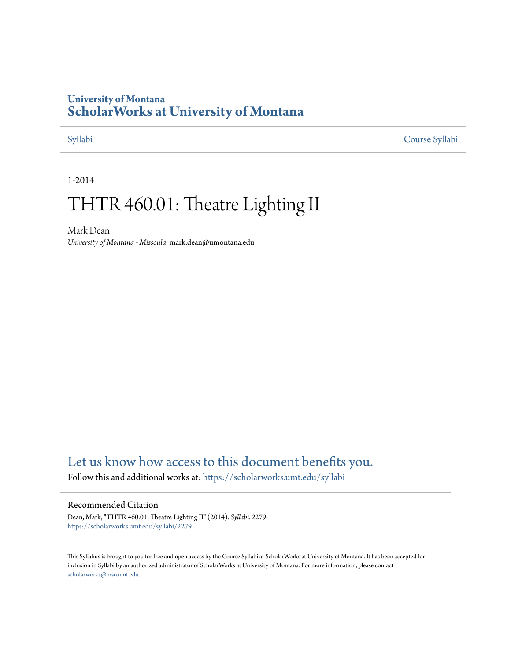# **University of Montana [ScholarWorks at University of Montana](https://scholarworks.umt.edu?utm_source=scholarworks.umt.edu%2Fsyllabi%2F2279&utm_medium=PDF&utm_campaign=PDFCoverPages)**

[Syllabi](https://scholarworks.umt.edu/syllabi?utm_source=scholarworks.umt.edu%2Fsyllabi%2F2279&utm_medium=PDF&utm_campaign=PDFCoverPages) [Course Syllabi](https://scholarworks.umt.edu/course_syllabi?utm_source=scholarworks.umt.edu%2Fsyllabi%2F2279&utm_medium=PDF&utm_campaign=PDFCoverPages)

1-2014

# THTR 460.01: Theatre Lighting II

Mark Dean *University of Montana - Missoula*, mark.dean@umontana.edu

# [Let us know how access to this document benefits you.](https://goo.gl/forms/s2rGfXOLzz71qgsB2)

Follow this and additional works at: [https://scholarworks.umt.edu/syllabi](https://scholarworks.umt.edu/syllabi?utm_source=scholarworks.umt.edu%2Fsyllabi%2F2279&utm_medium=PDF&utm_campaign=PDFCoverPages)

#### Recommended Citation

Dean, Mark, "THTR 460.01: Theatre Lighting II" (2014). *Syllabi*. 2279. [https://scholarworks.umt.edu/syllabi/2279](https://scholarworks.umt.edu/syllabi/2279?utm_source=scholarworks.umt.edu%2Fsyllabi%2F2279&utm_medium=PDF&utm_campaign=PDFCoverPages)

This Syllabus is brought to you for free and open access by the Course Syllabi at ScholarWorks at University of Montana. It has been accepted for inclusion in Syllabi by an authorized administrator of ScholarWorks at University of Montana. For more information, please contact [scholarworks@mso.umt.edu](mailto:scholarworks@mso.umt.edu).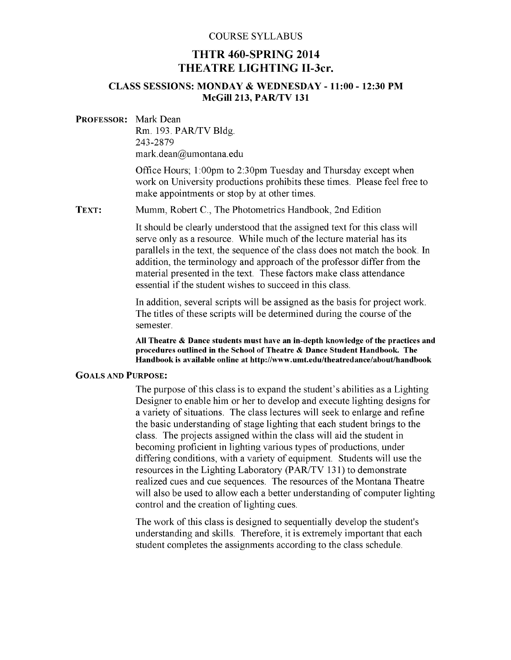#### COURSE SYLLABUS

## **THTR 460-SPRING 2014 THEATRE LIGHTING II-3cr.**

#### **CLASS SESSIONS: MONDAY & WEDNESDAY - 11:00 - 12:30 PM McGill 213, PAR/TV 131**

#### **PROFESSOR:** Mark Dean

Rm. 193. PAR/TV Bldg. 243-2879 mark.dean@umontana.edu

Office Hours; 1:00pm to 2:30pm Tuesday and Thursday except when work on University productions prohibits these times. Please feel free to make appointments or stop by at other times.

**TEXT:** Mumm, Robert C., The Photometrics Handbook, 2nd Edition

It should be clearly understood that the assigned text for this class will serve only as a resource. While much of the lecture material has its parallels in the text, the sequence of the class does not match the book. In addition, the terminology and approach of the professor differ from the material presented in the text. These factors make class attendance essential if the student wishes to succeed in this class.

In addition, several scripts will be assigned as the basis for project work. The titles of these scripts will be determined during the course of the semester.

**All Theatre** *&* **Dance students must have an in-depth knowledge of the practices and procedures outlined in the School of Theatre** *&* **Dance Student Handbook. The Handbook is available online at http://www.umt.edu/theatredance/about/handbook**

#### $G$  *o* **als and PURPOSE:**

The purpose of this class is to expand the student's abilities as a Lighting Designer to enable him or her to develop and execute lighting designs for a variety of situations. The class lectures will seek to enlarge and refine the basic understanding of stage lighting that each student brings to the class. The projects assigned within the class will aid the student in becoming proficient in lighting various types of productions, under differing conditions, with a variety of equipment. Students will use the resources in the Lighting Laboratory (PAR/TV 131) to demonstrate realized cues and cue sequences. The resources of the Montana Theatre will also be used to allow each a better understanding of computer lighting control and the creation of lighting cues.

The work of this class is designed to sequentially develop the student's understanding and skills. Therefore, it is extremely important that each student completes the assignments according to the class schedule.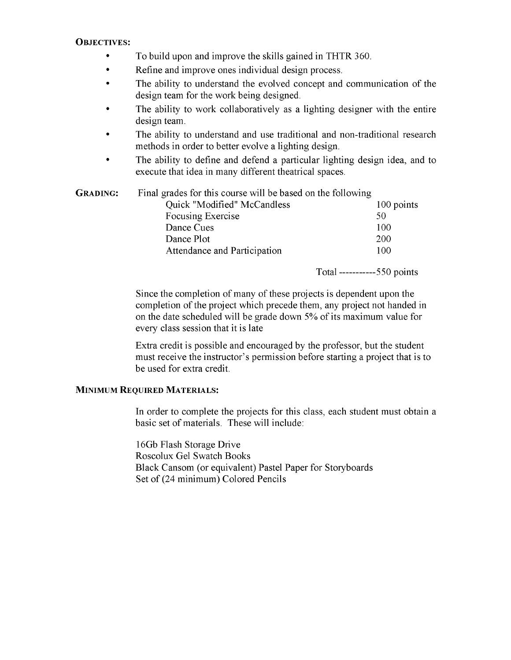#### **OBJECTIVES:**

- To build upon and improve the skills gained in THTR 360.
- Refine and improve ones individual design process.
- The ability to understand the evolved concept and communication of the design team for the work being designed.
- The ability to work collaboratively as a lighting designer with the entire design team.
- The ability to understand and use traditional and non-traditional research methods in order to better evolve a lighting design.
- The ability to define and defend a particular lighting design idea, and to execute that idea in many different theatrical spaces.

| <b>GRADING:</b> | Final grades for this course will be based on the following |            |
|-----------------|-------------------------------------------------------------|------------|
|                 | Quick "Modified" McCandless                                 | 100 points |
|                 | Focusing Exercise                                           | 50         |
|                 | Dance Cues                                                  | 100        |
|                 | Dance Plot                                                  | 200        |
|                 | Attendance and Participation                                | 100        |
|                 |                                                             | <b>m</b> 1 |

Total-----------550 points

Since the completion of many of these projects is dependent upon the completion of the project which precede them, any project not handed in on the date scheduled will be grade down 5% of its maximum value for every class session that it is late

Extra credit is possible and encouraged by the professor, but the student must receive the instructor's permission before starting a project that is to be used for extra credit.

### **MINIMUM REQUIRED MATERIALS:**

In order to complete the projects for this class, each student must obtain a basic set of materials. These will include:

16Gb Flash Storage Drive Roscolux Gel Swatch Books Black Cansom (or equivalent) Pastel Paper for Storyboards Set of (24 minimum) Colored Pencils